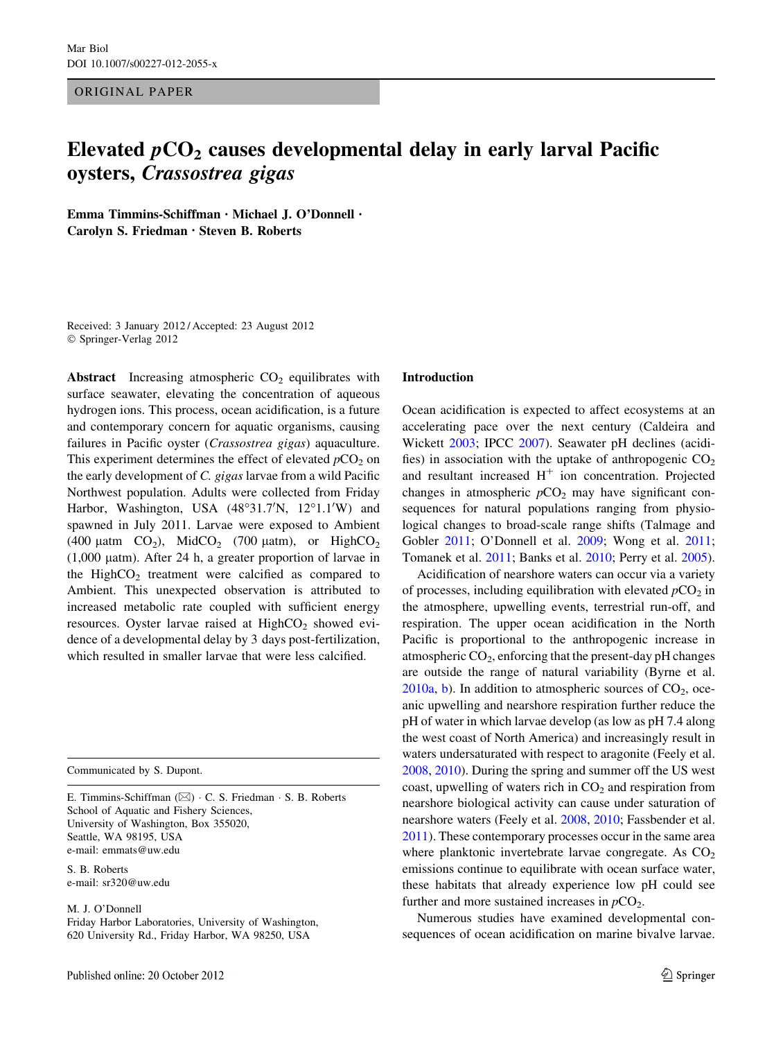ORIGINAL PAPER

# Elevated  $pCO<sub>2</sub>$  causes developmental delay in early larval Pacific oysters, Crassostrea gigas

Emma Timmins-Schiffman • Michael J. O'Donnell • Carolyn S. Friedman • Steven B. Roberts

Received: 3 January 2012 / Accepted: 23 August 2012 © Springer-Verlag 2012

Abstract Increasing atmospheric  $CO<sub>2</sub>$  equilibrates with surface seawater, elevating the concentration of aqueous hydrogen ions. This process, ocean acidification, is a future and contemporary concern for aquatic organisms, causing failures in Pacific oyster (Crassostrea gigas) aquaculture. This experiment determines the effect of elevated  $pCO<sub>2</sub>$  on the early development of C. gigas larvae from a wild Pacific Northwest population. Adults were collected from Friday Harbor, Washington, USA (48°31.7'N, 12°1.1'W) and spawned in July 2011. Larvae were exposed to Ambient (400 µatm  $CO<sub>2</sub>$ ), MidCO<sub>2</sub> (700 µatm), or HighCO<sub>2</sub> (1,000 latm). After 24 h, a greater proportion of larvae in the High $CO<sub>2</sub>$  treatment were calcified as compared to Ambient. This unexpected observation is attributed to increased metabolic rate coupled with sufficient energy resources. Oyster larvae raised at  $HighCO<sub>2</sub>$  showed evidence of a developmental delay by 3 days post-fertilization, which resulted in smaller larvae that were less calcified.

Communicated by S. Dupont.

E. Timmins-Schiffman (⊠) · C. S. Friedman · S. B. Roberts School of Aquatic and Fishery Sciences, University of Washington, Box 355020, Seattle, WA 98195, USA e-mail: emmats@uw.edu

S. B. Roberts e-mail: sr320@uw.edu

M. J. O'Donnell

Friday Harbor Laboratories, University of Washington, 620 University Rd., Friday Harbor, WA 98250, USA

#### Introduction

Ocean acidification is expected to affect ecosystems at an accelerating pace over the next century (Caldeira and Wickett [2003;](#page-8-0) IPCC [2007\)](#page-8-0). Seawater pH declines (acidifies) in association with the uptake of anthropogenic  $CO<sub>2</sub>$ and resultant increased  $H^+$  ion concentration. Projected changes in atmospheric  $pCO<sub>2</sub>$  may have significant consequences for natural populations ranging from physiological changes to broad-scale range shifts (Talmage and Gobler [2011](#page-9-0); O'Donnell et al. [2009](#page-8-0); Wong et al. [2011](#page-9-0); Tomanek et al. [2011;](#page-9-0) Banks et al. [2010;](#page-8-0) Perry et al. [2005](#page-9-0)).

Acidification of nearshore waters can occur via a variety of processes, including equilibration with elevated  $pCO<sub>2</sub>$  in the atmosphere, upwelling events, terrestrial run-off, and respiration. The upper ocean acidification in the North Pacific is proportional to the anthropogenic increase in atmospheric  $CO<sub>2</sub>$ , enforcing that the present-day pH changes are outside the range of natural variability (Byrne et al.  $2010a$ , [b](#page-8-0)). In addition to atmospheric sources of  $CO<sub>2</sub>$ , oceanic upwelling and nearshore respiration further reduce the pH of water in which larvae develop (as low as pH 7.4 along the west coast of North America) and increasingly result in waters undersaturated with respect to aragonite (Feely et al. [2008](#page-8-0), [2010\)](#page-8-0). During the spring and summer off the US west coast, upwelling of waters rich in  $CO<sub>2</sub>$  and respiration from nearshore biological activity can cause under saturation of nearshore waters (Feely et al. [2008,](#page-8-0) [2010;](#page-8-0) Fassbender et al. [2011](#page-8-0)). These contemporary processes occur in the same area where planktonic invertebrate larvae congregate. As  $CO<sub>2</sub>$ emissions continue to equilibrate with ocean surface water, these habitats that already experience low pH could see further and more sustained increases in  $pCO<sub>2</sub>$ .

Numerous studies have examined developmental consequences of ocean acidification on marine bivalve larvae.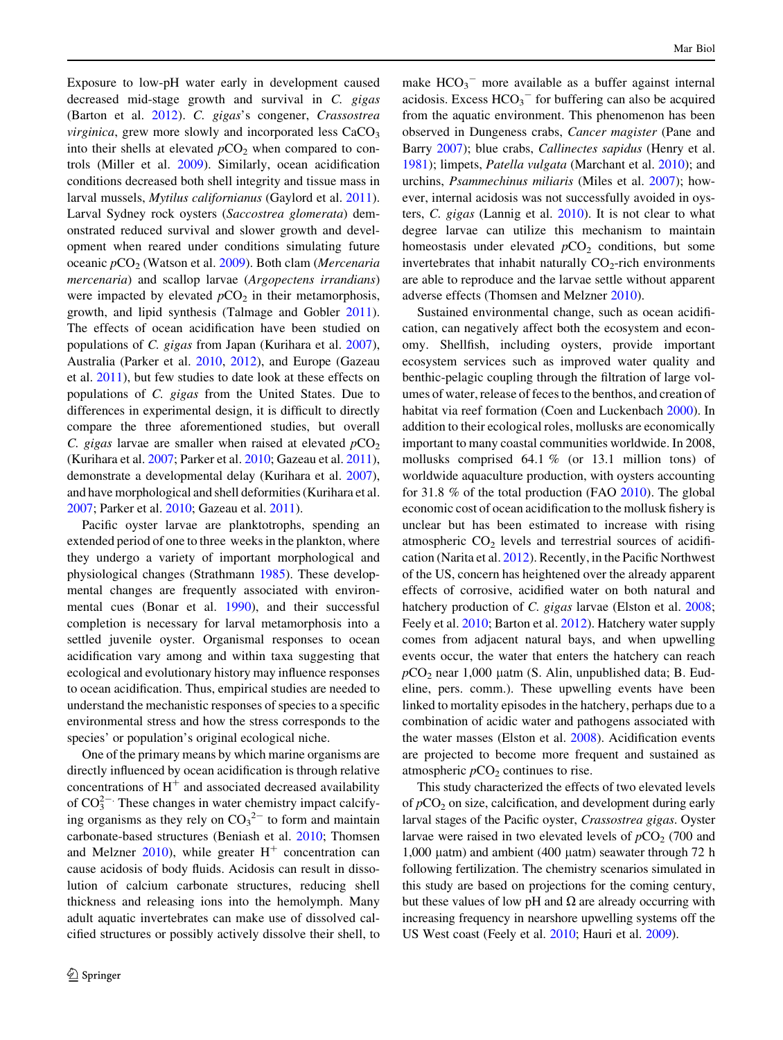Exposure to low-pH water early in development caused decreased mid-stage growth and survival in C. gigas (Barton et al. [2012](#page-8-0)). C. gigas's congener, Crassostrea *virginica*, grew more slowly and incorporated less  $CaCO<sub>3</sub>$ into their shells at elevated  $pCO<sub>2</sub>$  when compared to controls (Miller et al. [2009\)](#page-8-0). Similarly, ocean acidification conditions decreased both shell integrity and tissue mass in larval mussels, Mytilus californianus (Gaylord et al. [2011](#page-8-0)). Larval Sydney rock oysters (Saccostrea glomerata) demonstrated reduced survival and slower growth and development when reared under conditions simulating future oceanic  $pCO_2$  (Watson et al. [2009\)](#page-9-0). Both clam (Mercenaria mercenaria) and scallop larvae (Argopectens irrandians) were impacted by elevated  $pCO<sub>2</sub>$  in their metamorphosis, growth, and lipid synthesis (Talmage and Gobler [2011](#page-9-0)). The effects of ocean acidification have been studied on populations of C. gigas from Japan (Kurihara et al. [2007](#page-8-0)), Australia (Parker et al. [2010](#page-9-0), [2012](#page-9-0)), and Europe (Gazeau et al. [2011\)](#page-8-0), but few studies to date look at these effects on populations of C. gigas from the United States. Due to differences in experimental design, it is difficult to directly compare the three aforementioned studies, but overall C. gigas larvae are smaller when raised at elevated  $pCO<sub>2</sub>$ (Kurihara et al. [2007](#page-8-0); Parker et al. [2010;](#page-9-0) Gazeau et al. [2011](#page-8-0)), demonstrate a developmental delay (Kurihara et al. [2007](#page-8-0)), and have morphological and shell deformities (Kurihara et al. [2007;](#page-8-0) Parker et al. [2010;](#page-9-0) Gazeau et al. [2011\)](#page-8-0).

Pacific oyster larvae are planktotrophs, spending an extended period of one to three weeks in the plankton, where they undergo a variety of important morphological and physiological changes (Strathmann [1985](#page-9-0)). These developmental changes are frequently associated with environmental cues (Bonar et al. [1990](#page-8-0)), and their successful completion is necessary for larval metamorphosis into a settled juvenile oyster. Organismal responses to ocean acidification vary among and within taxa suggesting that ecological and evolutionary history may influence responses to ocean acidification. Thus, empirical studies are needed to understand the mechanistic responses of species to a specific environmental stress and how the stress corresponds to the species' or population's original ecological niche.

One of the primary means by which marine organisms are directly influenced by ocean acidification is through relative concentrations of  $H<sup>+</sup>$  and associated decreased availability of  $CO_3^{2-}$ . These changes in water chemistry impact calcifying organisms as they rely on  $CO_3^2$  to form and maintain carbonate-based structures (Beniash et al. [2010;](#page-8-0) Thomsen and Melzner  $2010$ , while greater  $H<sup>+</sup>$  concentration can cause acidosis of body fluids. Acidosis can result in dissolution of calcium carbonate structures, reducing shell thickness and releasing ions into the hemolymph. Many adult aquatic invertebrates can make use of dissolved calcified structures or possibly actively dissolve their shell, to

make  $HCO_3$ <sup>-</sup> more available as a buffer against internal acidosis. Excess  $HCO<sub>3</sub><sup>-</sup>$  for buffering can also be acquired from the aquatic environment. This phenomenon has been observed in Dungeness crabs, Cancer magister (Pane and Barry [2007](#page-9-0)); blue crabs, *Callinectes sapidus* (Henry et al. [1981](#page-8-0)); limpets, Patella vulgata (Marchant et al. [2010\)](#page-8-0); and urchins, Psammechinus miliaris (Miles et al. [2007\)](#page-8-0); however, internal acidosis was not successfully avoided in oysters, C. gigas (Lannig et al. [2010](#page-8-0)). It is not clear to what degree larvae can utilize this mechanism to maintain homeostasis under elevated  $pCO<sub>2</sub>$  conditions, but some invertebrates that inhabit naturally  $CO<sub>2</sub>$ -rich environments are able to reproduce and the larvae settle without apparent adverse effects (Thomsen and Melzner [2010\)](#page-9-0).

Sustained environmental change, such as ocean acidification, can negatively affect both the ecosystem and economy. Shellfish, including oysters, provide important ecosystem services such as improved water quality and benthic-pelagic coupling through the filtration of large volumes of water, release of feces to the benthos, and creation of habitat via reef formation (Coen and Luckenbach [2000](#page-8-0)). In addition to their ecological roles, mollusks are economically important to many coastal communities worldwide. In 2008, mollusks comprised 64.1 % (or 13.1 million tons) of worldwide aquaculture production, with oysters accounting for 31.8 % of the total production (FAO [2010](#page-8-0)). The global economic cost of ocean acidification to the mollusk fishery is unclear but has been estimated to increase with rising atmospheric  $CO<sub>2</sub>$  levels and terrestrial sources of acidification (Narita et al. [2012\)](#page-8-0). Recently, in the Pacific Northwest of the US, concern has heightened over the already apparent effects of corrosive, acidified water on both natural and hatchery production of *C. gigas* larvae (Elston et al. [2008](#page-8-0); Feely et al. [2010;](#page-8-0) Barton et al. [2012\)](#page-8-0). Hatchery water supply comes from adjacent natural bays, and when upwelling events occur, the water that enters the hatchery can reach  $pCO<sub>2</sub>$  near 1,000 µatm (S. Alin, unpublished data; B. Eudeline, pers. comm.). These upwelling events have been linked to mortality episodes in the hatchery, perhaps due to a combination of acidic water and pathogens associated with the water masses (Elston et al. [2008](#page-8-0)). Acidification events are projected to become more frequent and sustained as atmospheric  $pCO<sub>2</sub>$  continues to rise.

This study characterized the effects of two elevated levels of  $pCO<sub>2</sub>$  on size, calcification, and development during early larval stages of the Pacific oyster, Crassostrea gigas. Oyster larvae were raised in two elevated levels of  $pCO<sub>2</sub>$  (700 and 1,000 μatm) and ambient (400 μatm) seawater through 72 h following fertilization. The chemistry scenarios simulated in this study are based on projections for the coming century, but these values of low pH and  $\Omega$  are already occurring with increasing frequency in nearshore upwelling systems off the US West coast (Feely et al. [2010;](#page-8-0) Hauri et al. [2009\)](#page-8-0).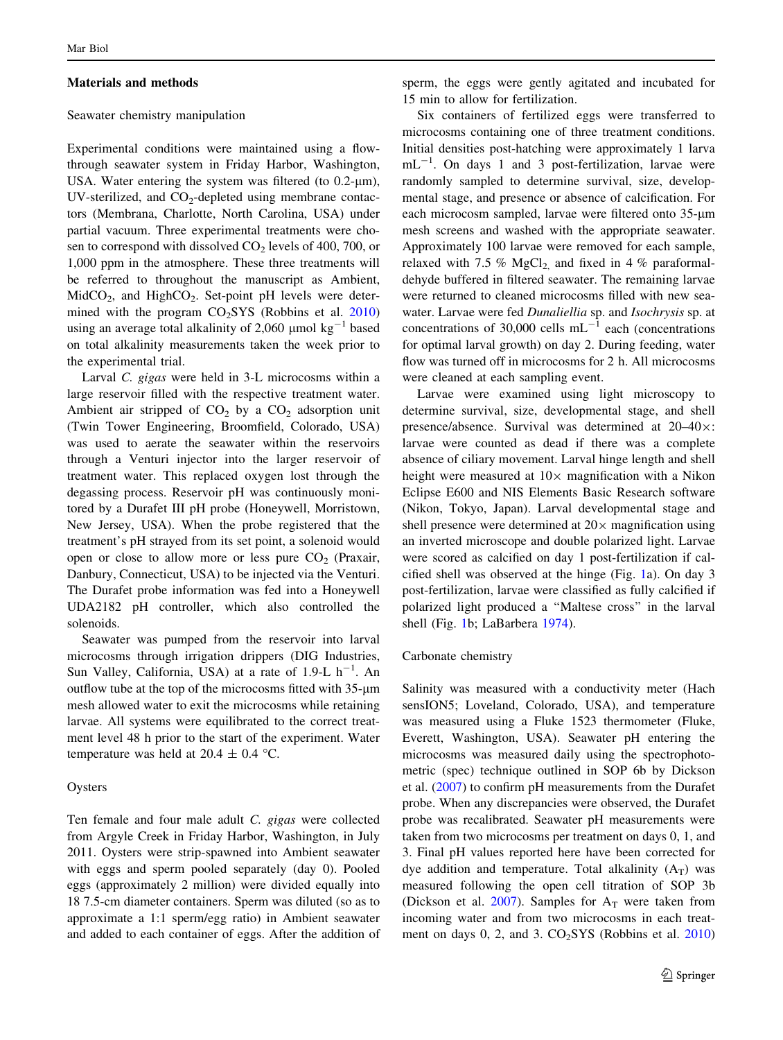#### Materials and methods

## Seawater chemistry manipulation

Experimental conditions were maintained using a flowthrough seawater system in Friday Harbor, Washington, USA. Water entering the system was filtered (to  $0.2$ - $\mu$ m), UV-sterilized, and  $CO<sub>2</sub>$ -depleted using membrane contactors (Membrana, Charlotte, North Carolina, USA) under partial vacuum. Three experimental treatments were chosen to correspond with dissolved  $CO<sub>2</sub>$  levels of 400, 700, or 1,000 ppm in the atmosphere. These three treatments will be referred to throughout the manuscript as Ambient,  $MidCO<sub>2</sub>$ , and HighCO<sub>2</sub>. Set-point pH levels were determined with the program  $CO<sub>2</sub>SYS$  (Robbins et al. [2010\)](#page-9-0) using an average total alkalinity of 2,060  $\mu$ mol kg<sup>-1</sup> based on total alkalinity measurements taken the week prior to the experimental trial.

Larval C. gigas were held in 3-L microcosms within a large reservoir filled with the respective treatment water. Ambient air stripped of  $CO<sub>2</sub>$  by a  $CO<sub>2</sub>$  adsorption unit (Twin Tower Engineering, Broomfield, Colorado, USA) was used to aerate the seawater within the reservoirs through a Venturi injector into the larger reservoir of treatment water. This replaced oxygen lost through the degassing process. Reservoir pH was continuously monitored by a Durafet III pH probe (Honeywell, Morristown, New Jersey, USA). When the probe registered that the treatment's pH strayed from its set point, a solenoid would open or close to allow more or less pure  $CO<sub>2</sub>$  (Praxair, Danbury, Connecticut, USA) to be injected via the Venturi. The Durafet probe information was fed into a Honeywell UDA2182 pH controller, which also controlled the solenoids.

Seawater was pumped from the reservoir into larval microcosms through irrigation drippers (DIG Industries, Sun Valley, California, USA) at a rate of  $1.9$ -L  $h^{-1}$ . An outflow tube at the top of the microcosms fitted with 35-µm mesh allowed water to exit the microcosms while retaining larvae. All systems were equilibrated to the correct treatment level 48 h prior to the start of the experiment. Water temperature was held at  $20.4 \pm 0.4$  °C.

## Oysters

Ten female and four male adult C. gigas were collected from Argyle Creek in Friday Harbor, Washington, in July 2011. Oysters were strip-spawned into Ambient seawater with eggs and sperm pooled separately (day 0). Pooled eggs (approximately 2 million) were divided equally into 18 7.5-cm diameter containers. Sperm was diluted (so as to approximate a 1:1 sperm/egg ratio) in Ambient seawater and added to each container of eggs. After the addition of sperm, the eggs were gently agitated and incubated for 15 min to allow for fertilization.

Six containers of fertilized eggs were transferred to microcosms containing one of three treatment conditions. Initial densities post-hatching were approximately 1 larva  $mL^{-1}$ . On days 1 and 3 post-fertilization, larvae were randomly sampled to determine survival, size, developmental stage, and presence or absence of calcification. For each microcosm sampled, larvae were filtered onto  $35-\mu m$ mesh screens and washed with the appropriate seawater. Approximately 100 larvae were removed for each sample, relaxed with 7.5 % MgCl<sub>2</sub> and fixed in 4 % paraformaldehyde buffered in filtered seawater. The remaining larvae were returned to cleaned microcosms filled with new seawater. Larvae were fed Dunaliellia sp. and Isochrysis sp. at concentrations of 30,000 cells  $mL^{-1}$  each (concentrations for optimal larval growth) on day 2. During feeding, water flow was turned off in microcosms for 2 h. All microcosms were cleaned at each sampling event.

Larvae were examined using light microscopy to determine survival, size, developmental stage, and shell presence/absence. Survival was determined at  $20-40\times$ : larvae were counted as dead if there was a complete absence of ciliary movement. Larval hinge length and shell height were measured at  $10\times$  magnification with a Nikon Eclipse E600 and NIS Elements Basic Research software (Nikon, Tokyo, Japan). Larval developmental stage and shell presence were determined at  $20 \times$  magnification using an inverted microscope and double polarized light. Larvae were scored as calcified on day 1 post-fertilization if calcified shell was observed at the hinge (Fig. [1](#page-3-0)a). On day 3 post-fertilization, larvae were classified as fully calcified if polarized light produced a ''Maltese cross'' in the larval shell (Fig. [1b](#page-3-0); LaBarbera [1974\)](#page-8-0).

#### Carbonate chemistry

Salinity was measured with a conductivity meter (Hach sensION5; Loveland, Colorado, USA), and temperature was measured using a Fluke 1523 thermometer (Fluke, Everett, Washington, USA). Seawater pH entering the microcosms was measured daily using the spectrophotometric (spec) technique outlined in SOP 6b by Dickson et al. ([2007\)](#page-8-0) to confirm pH measurements from the Durafet probe. When any discrepancies were observed, the Durafet probe was recalibrated. Seawater pH measurements were taken from two microcosms per treatment on days 0, 1, and 3. Final pH values reported here have been corrected for dye addition and temperature. Total alkalinity  $(A_T)$  was measured following the open cell titration of SOP 3b (Dickson et al. [2007](#page-8-0)). Samples for  $A_T$  were taken from incoming water and from two microcosms in each treatment on days  $0$ , 2, and 3.  $CO<sub>2</sub>SYS$  (Robbins et al. [2010\)](#page-9-0)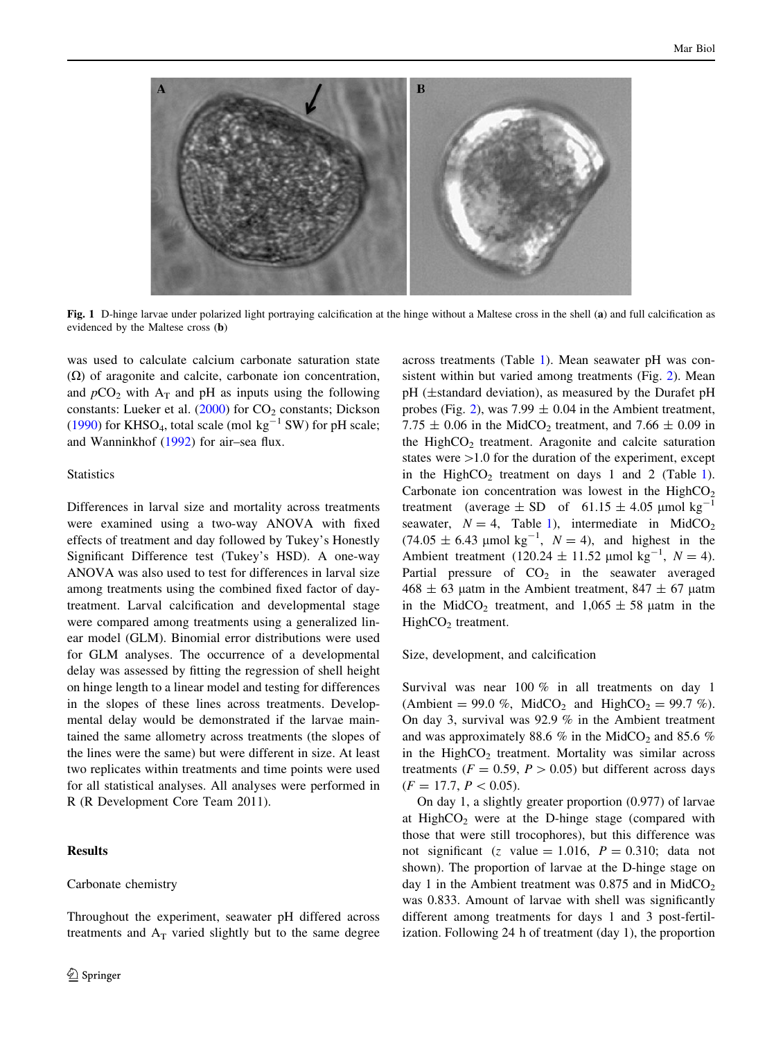<span id="page-3-0"></span>

Fig. 1 D-hinge larvae under polarized light portraying calcification at the hinge without a Maltese cross in the shell (a) and full calcification as evidenced by the Maltese cross (b)

was used to calculate calcium carbonate saturation state  $(\Omega)$  of aragonite and calcite, carbonate ion concentration, and  $pCO_2$  with  $A_T$  and pH as inputs using the following constants: Lueker et al.  $(2000)$  $(2000)$  for  $CO<sub>2</sub>$  constants; Dickson [\(1990](#page-8-0)) for KHSO<sub>4</sub>, total scale (mol kg<sup>-1</sup> SW) for pH scale; and Wanninkhof [\(1992](#page-9-0)) for air–sea flux.

## **Statistics**

Differences in larval size and mortality across treatments were examined using a two-way ANOVA with fixed effects of treatment and day followed by Tukey's Honestly Significant Difference test (Tukey's HSD). A one-way ANOVA was also used to test for differences in larval size among treatments using the combined fixed factor of daytreatment. Larval calcification and developmental stage were compared among treatments using a generalized linear model (GLM). Binomial error distributions were used for GLM analyses. The occurrence of a developmental delay was assessed by fitting the regression of shell height on hinge length to a linear model and testing for differences in the slopes of these lines across treatments. Developmental delay would be demonstrated if the larvae maintained the same allometry across treatments (the slopes of the lines were the same) but were different in size. At least two replicates within treatments and time points were used for all statistical analyses. All analyses were performed in R (R Development Core Team 2011).

## Results

#### Carbonate chemistry

Throughout the experiment, seawater pH differed across treatments and  $A_T$  varied slightly but to the same degree across treatments (Table [1](#page-4-0)). Mean seawater pH was consistent within but varied among treatments (Fig. [2](#page-4-0)). Mean pH (±standard deviation), as measured by the Durafet pH probes (Fig. [2\)](#page-4-0), was 7.99  $\pm$  0.04 in the Ambient treatment, 7.75  $\pm$  0.06 in the MidCO<sub>2</sub> treatment, and 7.66  $\pm$  0.09 in the High $CO<sub>2</sub>$  treatment. Aragonite and calcite saturation states were  $>1.0$  for the duration of the experiment, except in the High $CO<sub>2</sub>$  treatment on days [1](#page-4-0) and 2 (Table 1). Carbonate ion concentration was lowest in the  $HighCO<sub>2</sub>$ treatment (average  $\pm$  SD of 61.15  $\pm$  4.05 µmol kg<sup>-1</sup> seawater,  $N = 4$ , Table [1](#page-4-0)), intermediate in MidCO<sub>2</sub>  $(74.05 \pm 6.43 \text{ \mu mol kg}^{-1}, N = 4)$ , and highest in the Ambient treatment (120.24  $\pm$  11.52 µmol kg<sup>-1</sup>, N = 4). Partial pressure of  $CO<sub>2</sub>$  in the seawater averaged  $468 \pm 63$  µatm in the Ambient treatment,  $847 \pm 67$  µatm in the MidCO<sub>2</sub> treatment, and  $1,065 \pm 58$  µatm in the  $HighCO<sub>2</sub> treatment.$ 

Size, development, and calcification

Survival was near 100 % in all treatments on day 1 (Ambient = 99.0 %, MidCO<sub>2</sub> and HighCO<sub>2</sub> = 99.7 %). On day 3, survival was 92.9 % in the Ambient treatment and was approximately 88.6 % in the MidCO<sub>2</sub> and 85.6 % in the High $CO<sub>2</sub>$  treatment. Mortality was similar across treatments ( $F = 0.59$ ,  $P > 0.05$ ) but different across days  $(F = 17.7, P < 0.05).$ 

On day 1, a slightly greater proportion (0.977) of larvae at High $CO<sub>2</sub>$  were at the D-hinge stage (compared with those that were still trocophores), but this difference was not significant (z value = 1.016,  $P = 0.310$ ; data not shown). The proportion of larvae at the D-hinge stage on day 1 in the Ambient treatment was  $0.875$  and in MidCO<sub>2</sub> was 0.833. Amount of larvae with shell was significantly different among treatments for days 1 and 3 post-fertilization. Following 24 h of treatment (day 1), the proportion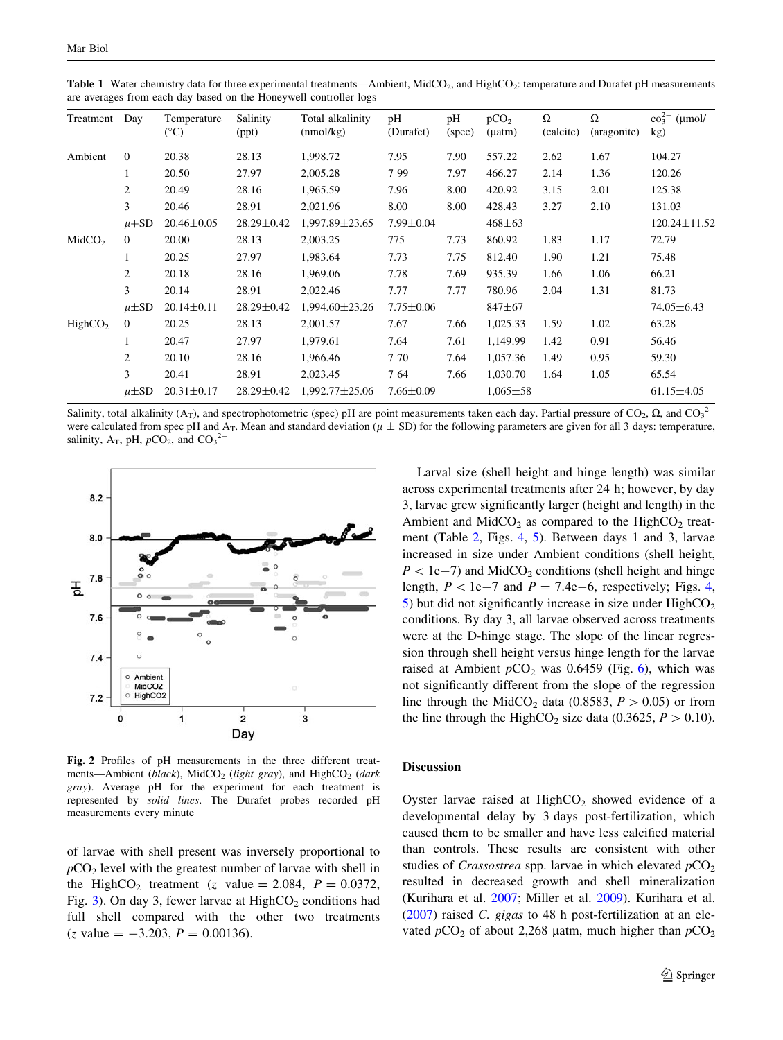| Treatment           | Day            | Temperature<br>$({}^{\circ}C)$ | Salinity<br>(ppt) | Total alkalinity<br>(mmol/kg) | pH<br>(Durafet) | pH<br>(spec) | pCO <sub>2</sub><br>$($ uatm $)$ | Ω<br>(calcite) | Ω<br>(aragonite) | $\cos^{2-}(\mu$ mol/<br>kg) |
|---------------------|----------------|--------------------------------|-------------------|-------------------------------|-----------------|--------------|----------------------------------|----------------|------------------|-----------------------------|
| Ambient             | $\mathbf{0}$   | 20.38                          | 28.13             | 1,998.72                      | 7.95            | 7.90         | 557.22                           | 2.62           | 1.67             | 104.27                      |
|                     | 1              | 20.50                          | 27.97             | 2,005.28                      | 799             | 7.97         | 466.27                           | 2.14           | 1.36             | 120.26                      |
|                     | 2              | 20.49                          | 28.16             | 1,965.59                      | 7.96            | 8.00         | 420.92                           | 3.15           | 2.01             | 125.38                      |
|                     | 3              | 20.46                          | 28.91             | 2,021.96                      | 8.00            | 8.00         | 428.43                           | 3.27           | 2.10             | 131.03                      |
|                     | $\mu + SD$     | $20.46 \pm 0.05$               | $28.29 \pm 0.42$  | 1,997.89±23.65                | $7.99 \pm 0.04$ |              | $468 \pm 63$                     |                |                  | $120.24 \pm 11.52$          |
| MidCO <sub>2</sub>  | $\overline{0}$ | 20.00                          | 28.13             | 2,003.25                      | 775             | 7.73         | 860.92                           | 1.83           | 1.17             | 72.79                       |
|                     | 1              | 20.25                          | 27.97             | 1,983.64                      | 7.73            | 7.75         | 812.40                           | 1.90           | 1.21             | 75.48                       |
|                     | $\overline{2}$ | 20.18                          | 28.16             | 1,969.06                      | 7.78            | 7.69         | 935.39                           | 1.66           | 1.06             | 66.21                       |
|                     | 3              | 20.14                          | 28.91             | 2,022.46                      | 7.77            | 7.77         | 780.96                           | 2.04           | 1.31             | 81.73                       |
|                     | $\mu\pm SD$    | $20.14 \pm 0.11$               | $28.29 \pm 0.42$  | $1,994.60 \pm 23.26$          | $7.75 \pm 0.06$ |              | $847 + 67$                       |                |                  | $74.05 \pm 6.43$            |
| HighCO <sub>2</sub> | $\overline{0}$ | 20.25                          | 28.13             | 2,001.57                      | 7.67            | 7.66         | 1,025.33                         | 1.59           | 1.02             | 63.28                       |
|                     | 1              | 20.47                          | 27.97             | 1,979.61                      | 7.64            | 7.61         | 1,149.99                         | 1.42           | 0.91             | 56.46                       |
|                     | $\overline{2}$ | 20.10                          | 28.16             | 1.966.46                      | 7 70            | 7.64         | 1,057.36                         | 1.49           | 0.95             | 59.30                       |
|                     | 3              | 20.41                          | 28.91             | 2,023.45                      | 7 64            | 7.66         | 1,030.70                         | 1.64           | 1.05             | 65.54                       |
|                     | $\mu\pm SD$    | $20.31 \pm 0.17$               | $28.29 \pm 0.42$  | $1,992.77 \pm 25.06$          | $7.66 \pm 0.09$ |              | $1,065 \pm 58$                   |                |                  | $61.15 \pm 4.05$            |

<span id="page-4-0"></span>Table 1 Water chemistry data for three experimental treatments—Ambient, MidCO<sub>2</sub>, and HighCO<sub>2</sub>: temperature and Durafet pH measurements are averages from each day based on the Honeywell controller logs

Salinity, total alkalinity (A<sub>T</sub>), and spectrophotometric (spec) pH are point measurements taken each day. Partial pressure of CO<sub>2</sub>,  $\Omega$ , and CO<sub>3</sub><sup>2</sup> were calculated from spec pH and A<sub>T</sub>. Mean and standard deviation ( $\mu \pm SD$ ) for the following parameters are given for all 3 days: temperature, salinity,  $A_T$ , pH,  $pCO_2$ , and  $CO_3^2$ <sup>-</sup>



Fig. 2 Profiles of pH measurements in the three different treatments—Ambient (black), MidCO<sub>2</sub> (light gray), and HighCO<sub>2</sub> (dark gray). Average pH for the experiment for each treatment is represented by solid lines. The Durafet probes recorded pH measurements every minute

of larvae with shell present was inversely proportional to  $pCO<sub>2</sub>$  level with the greatest number of larvae with shell in the HighCO<sub>2</sub> treatment (z value = 2.084,  $P = 0.0372$ , Fig. [3](#page-5-0)). On day 3, fewer larvae at  $HighCO<sub>2</sub>$  conditions had full shell compared with the other two treatments  $(z \text{ value} = -3.203, P = 0.00136).$ 

Larval size (shell height and hinge length) was similar across experimental treatments after 24 h; however, by day 3, larvae grew significantly larger (height and length) in the Ambient and  $MidCO_2$  as compared to the HighCO<sub>2</sub> treatment (Table [2,](#page-5-0) Figs. [4,](#page-5-0) [5](#page-6-0)). Between days 1 and 3, larvae increased in size under Ambient conditions (shell height,  $P<1e-7$ ) and MidCO<sub>2</sub> conditions (shell height and hinge length,  $P < 1e-7$  and  $P = 7.4e-6$ , respectively; Figs. [4,](#page-5-0) [5](#page-6-0)) but did not significantly increase in size under  $HighCO<sub>2</sub>$ conditions. By day 3, all larvae observed across treatments were at the D-hinge stage. The slope of the linear regression through shell height versus hinge length for the larvae raised at Ambient  $pCO<sub>2</sub>$  was 0.[6](#page-6-0)459 (Fig. 6), which was not significantly different from the slope of the regression line through the MidCO<sub>2</sub> data (0.8583,  $P > 0.05$ ) or from the line through the HighCO<sub>2</sub> size data (0.3625,  $P > 0.10$ ).

## Discussion

Oyster larvae raised at  $HighCO<sub>2</sub>$  showed evidence of a developmental delay by 3 days post-fertilization, which caused them to be smaller and have less calcified material than controls. These results are consistent with other studies of *Crassostrea* spp. larvae in which elevated  $pCO<sub>2</sub>$ resulted in decreased growth and shell mineralization (Kurihara et al. [2007;](#page-8-0) Miller et al. [2009](#page-8-0)). Kurihara et al. [\(2007](#page-8-0)) raised C. gigas to 48 h post-fertilization at an elevated  $pCO_2$  of about 2,268 µatm, much higher than  $pCO_2$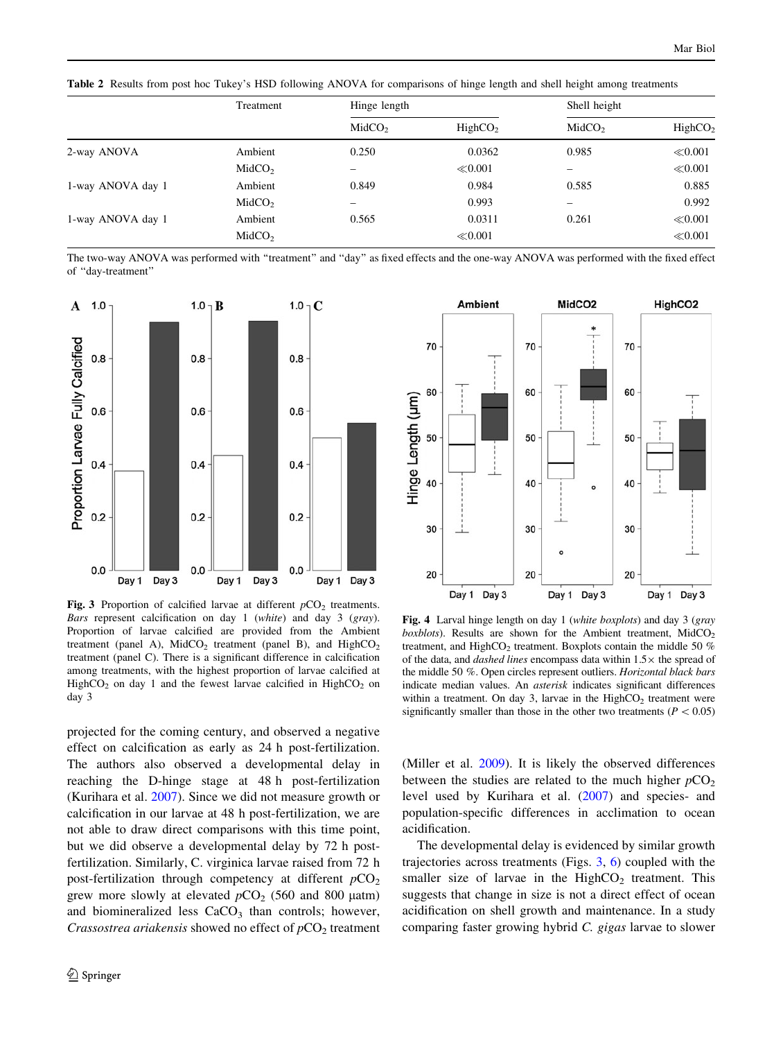<span id="page-5-0"></span>Table 2 Results from post hoc Tukey's HSD following ANOVA for comparisons of hinge length and shell height among treatments

|                   | Treatment          | Hinge length       |                     | Shell height       |                     |
|-------------------|--------------------|--------------------|---------------------|--------------------|---------------------|
|                   |                    | MidCO <sub>2</sub> | HighCO <sub>2</sub> | MidCO <sub>2</sub> | HighCO <sub>2</sub> |
| 2-way ANOVA       | Ambient            | 0.250              | 0.0362              | 0.985              | $\ll 0.001$         |
|                   | MidCO <sub>2</sub> | -                  | $\ll 0.001$         |                    | $\ll 0.001$         |
| 1-way ANOVA day 1 | Ambient            | 0.849              | 0.984               | 0.585              | 0.885               |
|                   | MidCO <sub>2</sub> |                    | 0.993               | -                  | 0.992               |
| 1-way ANOVA day 1 | Ambient            | 0.565              | 0.0311              | 0.261              | $\ll 0.001$         |
|                   | MidCO <sub>2</sub> |                    | $\ll 0.001$         |                    | $\ll 0.001$         |

The two-way ANOVA was performed with ''treatment'' and ''day'' as fixed effects and the one-way ANOVA was performed with the fixed effect of ''day-treatment''



Fig. 3 Proportion of calcified larvae at different  $pCO<sub>2</sub>$  treatments. Bars represent calcification on day 1 (white) and day 3 (gray). Proportion of larvae calcified are provided from the Ambient treatment (panel A),  $MidCO_2$  treatment (panel B), and  $HighCO_2$ treatment (panel C). There is a significant difference in calcification among treatments, with the highest proportion of larvae calcified at HighCO<sub>2</sub> on day 1 and the fewest larvae calcified in HighCO<sub>2</sub> on day 3

projected for the coming century, and observed a negative effect on calcification as early as 24 h post-fertilization. The authors also observed a developmental delay in reaching the D-hinge stage at 48 h post-fertilization (Kurihara et al. [2007\)](#page-8-0). Since we did not measure growth or calcification in our larvae at 48 h post-fertilization, we are not able to draw direct comparisons with this time point, but we did observe a developmental delay by 72 h postfertilization. Similarly, C. virginica larvae raised from 72 h post-fertilization through competency at different  $pCO<sub>2</sub>$ grew more slowly at elevated  $pCO_2$  (560 and 800  $\mu$ atm) and biomineralized less  $CaCO<sub>3</sub>$  than controls; however, *Crassostrea ariakensis* showed no effect of  $pCO<sub>2</sub>$  treatment



Fig. 4 Larval hinge length on day 1 (white boxplots) and day 3 (gray  $b(x)$ . Results are shown for the Ambient treatment, MidCO<sub>2</sub> treatment, and HighCO<sub>2</sub> treatment. Boxplots contain the middle 50  $%$ of the data, and *dashed lines* encompass data within  $1.5\times$  the spread of the middle 50 %. Open circles represent outliers. Horizontal black bars indicate median values. An asterisk indicates significant differences within a treatment. On day 3, larvae in the  $HighCO<sub>2</sub>$  treatment were significantly smaller than those in the other two treatments ( $P < 0.05$ )

(Miller et al. [2009](#page-8-0)). It is likely the observed differences between the studies are related to the much higher  $pCO<sub>2</sub>$ level used by Kurihara et al. [\(2007](#page-8-0)) and species- and population-specific differences in acclimation to ocean acidification.

The developmental delay is evidenced by similar growth trajectories across treatments (Figs. [3,](#page-6-0) 6) coupled with the smaller size of larvae in the  $HighCO<sub>2</sub>$  treatment. This suggests that change in size is not a direct effect of ocean acidification on shell growth and maintenance. In a study comparing faster growing hybrid C. gigas larvae to slower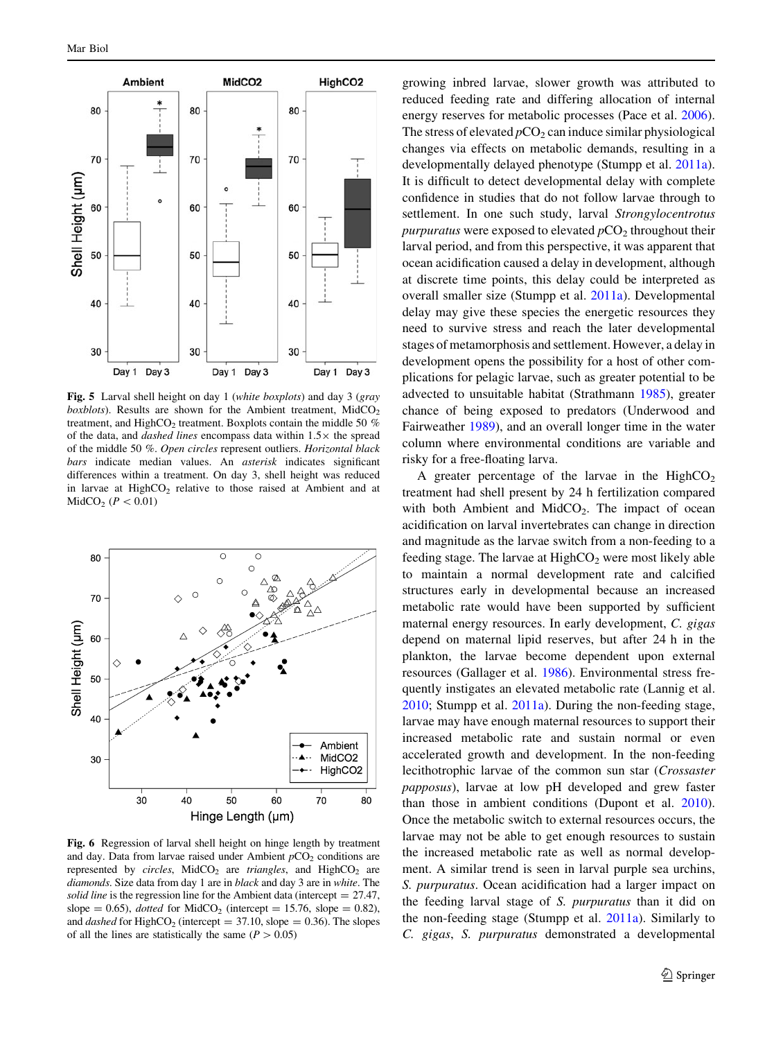<span id="page-6-0"></span>

Fig. 5 Larval shell height on day 1 (white boxplots) and day 3 (gray boxblots). Results are shown for the Ambient treatment,  $MidCO<sub>2</sub>$ treatment, and HighCO<sub>2</sub> treatment. Boxplots contain the middle 50  $%$ of the data, and *dashed lines* encompass data within  $1.5\times$  the spread of the middle 50 %. Open circles represent outliers. Horizontal black bars indicate median values. An asterisk indicates significant differences within a treatment. On day 3, shell height was reduced in larvae at  $HighCO<sub>2</sub>$  relative to those raised at Ambient and at  $MidCO<sub>2</sub>$  ( $P < 0.01$ )



Fig. 6 Regression of larval shell height on hinge length by treatment and day. Data from larvae raised under Ambient  $pCO<sub>2</sub>$  conditions are represented by circles, MidCO<sub>2</sub> are triangles, and HighCO<sub>2</sub> are diamonds. Size data from day 1 are in black and day 3 are in white. The solid line is the regression line for the Ambient data (intercept  $= 27.47$ , slope = 0.65), *dotted* for MidCO<sub>2</sub> (intercept = 15.76, slope = 0.82), and *dashed* for HighCO<sub>2</sub> (intercept = 37.10, slope = 0.36). The slopes of all the lines are statistically the same ( $P > 0.05$ )

growing inbred larvae, slower growth was attributed to reduced feeding rate and differing allocation of internal energy reserves for metabolic processes (Pace et al. [2006](#page-9-0)). The stress of elevated  $pCO<sub>2</sub>$  can induce similar physiological changes via effects on metabolic demands, resulting in a developmentally delayed phenotype (Stumpp et al. [2011a](#page-9-0)). It is difficult to detect developmental delay with complete confidence in studies that do not follow larvae through to settlement. In one such study, larval Strongylocentrotus *purpuratus* were exposed to elevated  $pCO<sub>2</sub>$  throughout their larval period, and from this perspective, it was apparent that ocean acidification caused a delay in development, although at discrete time points, this delay could be interpreted as overall smaller size (Stumpp et al. [2011a](#page-9-0)). Developmental delay may give these species the energetic resources they need to survive stress and reach the later developmental stages of metamorphosis and settlement. However, a delay in development opens the possibility for a host of other complications for pelagic larvae, such as greater potential to be advected to unsuitable habitat (Strathmann [1985\)](#page-9-0), greater chance of being exposed to predators (Underwood and Fairweather [1989\)](#page-9-0), and an overall longer time in the water column where environmental conditions are variable and risky for a free-floating larva.

A greater percentage of the larvae in the  $HighCO<sub>2</sub>$ treatment had shell present by 24 h fertilization compared with both Ambient and MidCO<sub>2</sub>. The impact of ocean acidification on larval invertebrates can change in direction and magnitude as the larvae switch from a non-feeding to a feeding stage. The larvae at  $HighCO<sub>2</sub>$  were most likely able to maintain a normal development rate and calcified structures early in developmental because an increased metabolic rate would have been supported by sufficient maternal energy resources. In early development, C. gigas depend on maternal lipid reserves, but after 24 h in the plankton, the larvae become dependent upon external resources (Gallager et al. [1986](#page-8-0)). Environmental stress frequently instigates an elevated metabolic rate (Lannig et al. [2010](#page-8-0); Stumpp et al. [2011a\)](#page-9-0). During the non-feeding stage, larvae may have enough maternal resources to support their increased metabolic rate and sustain normal or even accelerated growth and development. In the non-feeding lecithotrophic larvae of the common sun star (Crossaster papposus), larvae at low pH developed and grew faster than those in ambient conditions (Dupont et al. [2010](#page-8-0)). Once the metabolic switch to external resources occurs, the larvae may not be able to get enough resources to sustain the increased metabolic rate as well as normal development. A similar trend is seen in larval purple sea urchins, S. purpuratus. Ocean acidification had a larger impact on the feeding larval stage of S. purpuratus than it did on the non-feeding stage (Stumpp et al. [2011a\)](#page-9-0). Similarly to C. gigas, S. purpuratus demonstrated a developmental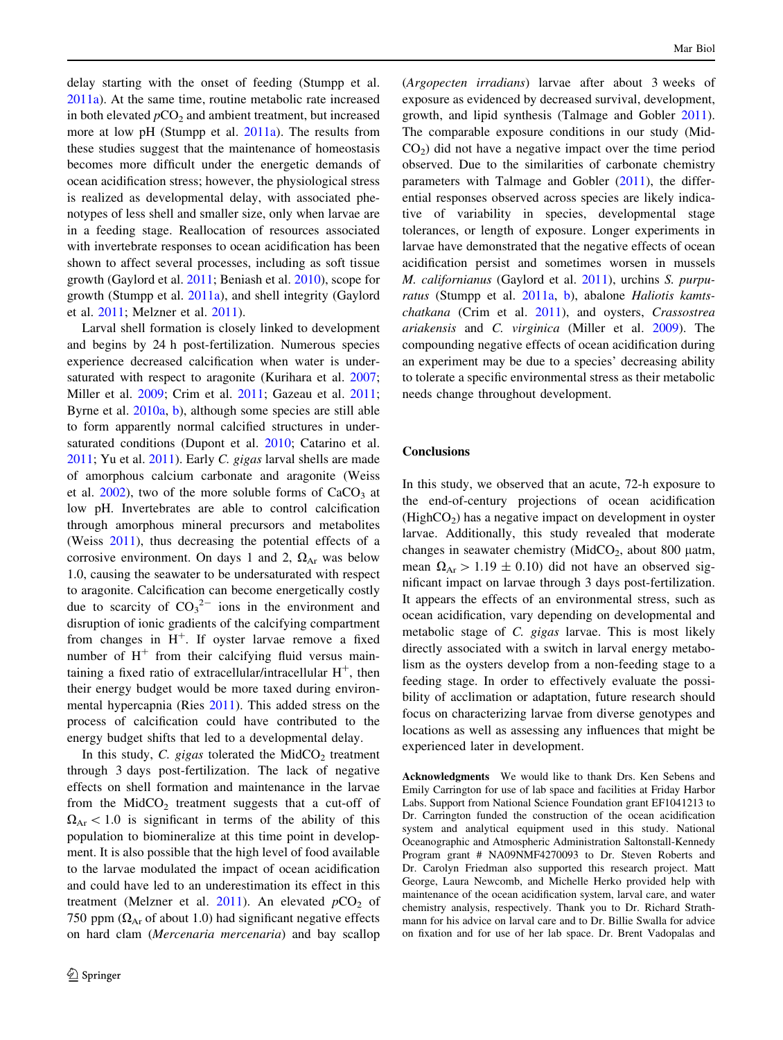delay starting with the onset of feeding (Stumpp et al. [2011a](#page-9-0)). At the same time, routine metabolic rate increased in both elevated  $pCO<sub>2</sub>$  and ambient treatment, but increased more at low pH (Stumpp et al. [2011a](#page-9-0)). The results from these studies suggest that the maintenance of homeostasis becomes more difficult under the energetic demands of ocean acidification stress; however, the physiological stress is realized as developmental delay, with associated phenotypes of less shell and smaller size, only when larvae are in a feeding stage. Reallocation of resources associated with invertebrate responses to ocean acidification has been shown to affect several processes, including as soft tissue growth (Gaylord et al. [2011](#page-8-0); Beniash et al. [2010](#page-8-0)), scope for growth (Stumpp et al. [2011a\)](#page-9-0), and shell integrity (Gaylord et al. [2011;](#page-8-0) Melzner et al. [2011](#page-8-0)).

Larval shell formation is closely linked to development and begins by 24 h post-fertilization. Numerous species experience decreased calcification when water is under-saturated with respect to aragonite (Kurihara et al. [2007](#page-8-0); Miller et al. [2009;](#page-8-0) Crim et al. [2011;](#page-8-0) Gazeau et al. [2011](#page-8-0); Byrne et al. [2010a,](#page-8-0) [b](#page-8-0)), although some species are still able to form apparently normal calcified structures in undersaturated conditions (Dupont et al. [2010](#page-8-0); Catarino et al. [2011;](#page-8-0) Yu et al. [2011](#page-9-0)). Early C. gigas larval shells are made of amorphous calcium carbonate and aragonite (Weiss et al.  $2002$ ), two of the more soluble forms of  $CaCO<sub>3</sub>$  at low pH. Invertebrates are able to control calcification through amorphous mineral precursors and metabolites (Weiss [2011\)](#page-9-0), thus decreasing the potential effects of a corrosive environment. On days 1 and 2,  $\Omega_{Ar}$  was below 1.0, causing the seawater to be undersaturated with respect to aragonite. Calcification can become energetically costly due to scarcity of  $CO_3^2$  ions in the environment and disruption of ionic gradients of the calcifying compartment from changes in  $H^+$ . If oyster larvae remove a fixed number of  $H<sup>+</sup>$  from their calcifying fluid versus maintaining a fixed ratio of extracellular/intracellular  $H^+$ , then their energy budget would be more taxed during environmental hypercapnia (Ries [2011](#page-9-0)). This added stress on the process of calcification could have contributed to the energy budget shifts that led to a developmental delay.

In this study, C. gigas tolerated the MidCO<sub>2</sub> treatment through 3 days post-fertilization. The lack of negative effects on shell formation and maintenance in the larvae from the  $MidCO<sub>2</sub>$  treatment suggests that a cut-off of  $\Omega_{Ar}$  < 1.0 is significant in terms of the ability of this population to biomineralize at this time point in development. It is also possible that the high level of food available to the larvae modulated the impact of ocean acidification and could have led to an underestimation its effect in this treatment (Melzner et al.  $2011$ ). An elevated  $pCO<sub>2</sub>$  of 750 ppm ( $\Omega_{Ar}$  of about 1.0) had significant negative effects on hard clam (Mercenaria mercenaria) and bay scallop (Argopecten irradians) larvae after about 3 weeks of exposure as evidenced by decreased survival, development, growth, and lipid synthesis (Talmage and Gobler [2011](#page-9-0)). The comparable exposure conditions in our study (Mid- $CO<sub>2</sub>$ ) did not have a negative impact over the time period observed. Due to the similarities of carbonate chemistry parameters with Talmage and Gobler [\(2011](#page-9-0)), the differential responses observed across species are likely indicative of variability in species, developmental stage tolerances, or length of exposure. Longer experiments in larvae have demonstrated that the negative effects of ocean acidification persist and sometimes worsen in mussels M. californianus (Gaylord et al. [2011\)](#page-8-0), urchins S. purpu-ratus (Stumpp et al. [2011a,](#page-9-0) [b\)](#page-9-0), abalone Haliotis kamtschatkana (Crim et al. [2011](#page-8-0)), and oysters, Crassostrea ariakensis and C. virginica (Miller et al. [2009\)](#page-8-0). The compounding negative effects of ocean acidification during an experiment may be due to a species' decreasing ability to tolerate a specific environmental stress as their metabolic needs change throughout development.

### **Conclusions**

In this study, we observed that an acute, 72-h exposure to the end-of-century projections of ocean acidification  $(HighCO<sub>2</sub>)$  has a negative impact on development in oyster larvae. Additionally, this study revealed that moderate changes in seawater chemistry (MidCO<sub>2</sub>, about 800  $\mu$ atm, mean  $\Omega_{Ar} > 1.19 \pm 0.10$ ) did not have an observed significant impact on larvae through 3 days post-fertilization. It appears the effects of an environmental stress, such as ocean acidification, vary depending on developmental and metabolic stage of C. gigas larvae. This is most likely directly associated with a switch in larval energy metabolism as the oysters develop from a non-feeding stage to a feeding stage. In order to effectively evaluate the possibility of acclimation or adaptation, future research should focus on characterizing larvae from diverse genotypes and locations as well as assessing any influences that might be experienced later in development.

Acknowledgments We would like to thank Drs. Ken Sebens and Emily Carrington for use of lab space and facilities at Friday Harbor Labs. Support from National Science Foundation grant EF1041213 to Dr. Carrington funded the construction of the ocean acidification system and analytical equipment used in this study. National Oceanographic and Atmospheric Administration Saltonstall-Kennedy Program grant # NA09NMF4270093 to Dr. Steven Roberts and Dr. Carolyn Friedman also supported this research project. Matt George, Laura Newcomb, and Michelle Herko provided help with maintenance of the ocean acidification system, larval care, and water chemistry analysis, respectively. Thank you to Dr. Richard Strathmann for his advice on larval care and to Dr. Billie Swalla for advice on fixation and for use of her lab space. Dr. Brent Vadopalas and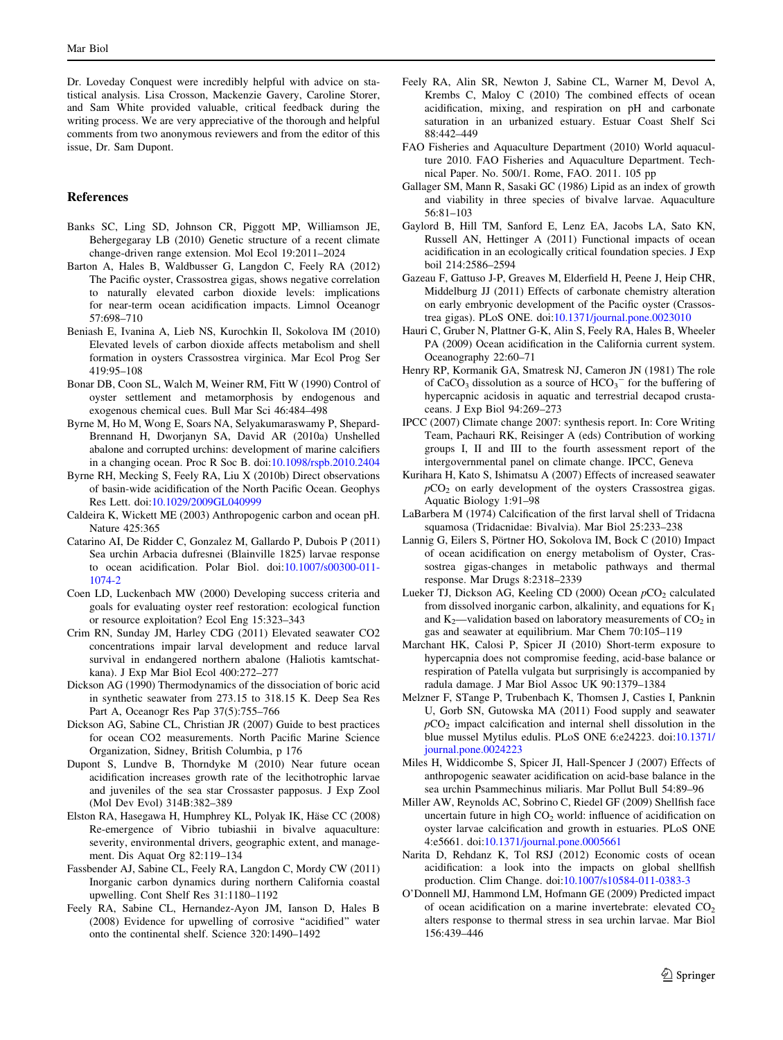<span id="page-8-0"></span>Dr. Loveday Conquest were incredibly helpful with advice on statistical analysis. Lisa Crosson, Mackenzie Gavery, Caroline Storer, and Sam White provided valuable, critical feedback during the writing process. We are very appreciative of the thorough and helpful comments from two anonymous reviewers and from the editor of this issue, Dr. Sam Dupont.

#### References

- Banks SC, Ling SD, Johnson CR, Piggott MP, Williamson JE, Behergegaray LB (2010) Genetic structure of a recent climate change-driven range extension. Mol Ecol 19:2011–2024
- Barton A, Hales B, Waldbusser G, Langdon C, Feely RA (2012) The Pacific oyster, Crassostrea gigas, shows negative correlation to naturally elevated carbon dioxide levels: implications for near-term ocean acidification impacts. Limnol Oceanogr 57:698–710
- Beniash E, Ivanina A, Lieb NS, Kurochkin Il, Sokolova IM (2010) Elevated levels of carbon dioxide affects metabolism and shell formation in oysters Crassostrea virginica. Mar Ecol Prog Ser 419:95–108
- Bonar DB, Coon SL, Walch M, Weiner RM, Fitt W (1990) Control of oyster settlement and metamorphosis by endogenous and exogenous chemical cues. Bull Mar Sci 46:484–498
- Byrne M, Ho M, Wong E, Soars NA, Selyakumaraswamy P, Shepard-Brennand H, Dworjanyn SA, David AR (2010a) Unshelled abalone and corrupted urchins: development of marine calcifiers in a changing ocean. Proc R Soc B. doi:[10.1098/rspb.2010.2404](http://dx.doi.org/10.1098/rspb.2010.2404)
- Byrne RH, Mecking S, Feely RA, Liu X (2010b) Direct observations of basin-wide acidification of the North Pacific Ocean. Geophys Res Lett. doi[:10.1029/2009GL040999](http://dx.doi.org/10.1029/2009GL040999)
- Caldeira K, Wickett ME (2003) Anthropogenic carbon and ocean pH. Nature 425:365
- Catarino AI, De Ridder C, Gonzalez M, Gallardo P, Dubois P (2011) Sea urchin Arbacia dufresnei (Blainville 1825) larvae response to ocean acidification. Polar Biol. doi[:10.1007/s00300-011-](http://dx.doi.org/10.1007/s00300-011-1074-2) [1074-2](http://dx.doi.org/10.1007/s00300-011-1074-2)
- Coen LD, Luckenbach MW (2000) Developing success criteria and goals for evaluating oyster reef restoration: ecological function or resource exploitation? Ecol Eng 15:323–343
- Crim RN, Sunday JM, Harley CDG (2011) Elevated seawater CO2 concentrations impair larval development and reduce larval survival in endangered northern abalone (Haliotis kamtschatkana). J Exp Mar Biol Ecol 400:272–277
- Dickson AG (1990) Thermodynamics of the dissociation of boric acid in synthetic seawater from 273.15 to 318.15 K. Deep Sea Res Part A, Oceanogr Res Pap 37(5):755–766
- Dickson AG, Sabine CL, Christian JR (2007) Guide to best practices for ocean CO2 measurements. North Pacific Marine Science Organization, Sidney, British Columbia, p 176
- Dupont S, Lundve B, Thorndyke M (2010) Near future ocean acidification increases growth rate of the lecithotrophic larvae and juveniles of the sea star Crossaster papposus. J Exp Zool (Mol Dev Evol) 314B:382–389
- Elston RA, Hasegawa H, Humphrey KL, Polyak IK, Häse CC (2008) Re-emergence of Vibrio tubiashii in bivalve aquaculture: severity, environmental drivers, geographic extent, and management. Dis Aquat Org 82:119–134
- Fassbender AJ, Sabine CL, Feely RA, Langdon C, Mordy CW (2011) Inorganic carbon dynamics during northern California coastal upwelling. Cont Shelf Res 31:1180–1192
- Feely RA, Sabine CL, Hernandez-Ayon JM, Ianson D, Hales B (2008) Evidence for upwelling of corrosive "acidified" water onto the continental shelf. Science 320:1490–1492
- Feely RA, Alin SR, Newton J, Sabine CL, Warner M, Devol A, Krembs C, Maloy C (2010) The combined effects of ocean acidification, mixing, and respiration on pH and carbonate saturation in an urbanized estuary. Estuar Coast Shelf Sci 88:442–449
- FAO Fisheries and Aquaculture Department (2010) World aquaculture 2010. FAO Fisheries and Aquaculture Department. Technical Paper. No. 500/1. Rome, FAO. 2011. 105 pp
- Gallager SM, Mann R, Sasaki GC (1986) Lipid as an index of growth and viability in three species of bivalve larvae. Aquaculture 56:81–103
- Gaylord B, Hill TM, Sanford E, Lenz EA, Jacobs LA, Sato KN, Russell AN, Hettinger A (2011) Functional impacts of ocean acidification in an ecologically critical foundation species. J Exp boil 214:2586–2594
- Gazeau F, Gattuso J-P, Greaves M, Elderfield H, Peene J, Heip CHR, Middelburg JJ (2011) Effects of carbonate chemistry alteration on early embryonic development of the Pacific oyster (Crassostrea gigas). PLoS ONE. doi:[10.1371/journal.pone.0023010](http://dx.doi.org/10.1371/journal.pone.0023010)
- Hauri C, Gruber N, Plattner G-K, Alin S, Feely RA, Hales B, Wheeler PA (2009) Ocean acidification in the California current system. Oceanography 22:60–71
- Henry RP, Kormanik GA, Smatresk NJ, Cameron JN (1981) The role of CaCO<sub>3</sub> dissolution as a source of  $HCO<sub>3</sub><sup>-</sup>$  for the buffering of hypercapnic acidosis in aquatic and terrestrial decapod crustaceans. J Exp Biol 94:269–273
- IPCC (2007) Climate change 2007: synthesis report. In: Core Writing Team, Pachauri RK, Reisinger A (eds) Contribution of working groups I, II and III to the fourth assessment report of the intergovernmental panel on climate change. IPCC, Geneva
- Kurihara H, Kato S, Ishimatsu A (2007) Effects of increased seawater  $pCO<sub>2</sub>$  on early development of the oysters Crassostrea gigas. Aquatic Biology 1:91–98
- LaBarbera M (1974) Calcification of the first larval shell of Tridacna squamosa (Tridacnidae: Bivalvia). Mar Biol 25:233–238
- Lannig G, Eilers S, Pörtner HO, Sokolova IM, Bock C (2010) Impact of ocean acidification on energy metabolism of Oyster, Crassostrea gigas-changes in metabolic pathways and thermal response. Mar Drugs 8:2318–2339
- Lueker TJ, Dickson AG, Keeling CD (2000) Ocean  $pCO<sub>2</sub>$  calculated from dissolved inorganic carbon, alkalinity, and equations for  $K_1$ and  $K_2$ —validation based on laboratory measurements of  $CO_2$  in gas and seawater at equilibrium. Mar Chem 70:105–119
- Marchant HK, Calosi P, Spicer JI (2010) Short-term exposure to hypercapnia does not compromise feeding, acid-base balance or respiration of Patella vulgata but surprisingly is accompanied by radula damage. J Mar Biol Assoc UK 90:1379–1384
- Melzner F, STange P, Trubenbach K, Thomsen J, Casties I, Panknin U, Gorb SN, Gutowska MA (2011) Food supply and seawater  $pCO<sub>2</sub>$  impact calcification and internal shell dissolution in the blue mussel Mytilus edulis. PLoS ONE 6:e24223. doi[:10.1371/](http://dx.doi.org/10.1371/journal.pone.0024223) [journal.pone.0024223](http://dx.doi.org/10.1371/journal.pone.0024223)
- Miles H, Widdicombe S, Spicer JI, Hall-Spencer J (2007) Effects of anthropogenic seawater acidification on acid-base balance in the sea urchin Psammechinus miliaris. Mar Pollut Bull 54:89–96
- Miller AW, Reynolds AC, Sobrino C, Riedel GF (2009) Shellfish face uncertain future in high  $CO<sub>2</sub>$  world: influence of acidification on oyster larvae calcification and growth in estuaries. PLoS ONE 4:e5661. doi:[10.1371/journal.pone.0005661](http://dx.doi.org/10.1371/journal.pone.0005661)
- Narita D, Rehdanz K, Tol RSJ (2012) Economic costs of ocean acidification: a look into the impacts on global shellfish production. Clim Change. doi:[10.1007/s10584-011-0383-3](http://dx.doi.org/10.1007/s10584-011-0383-3)
- O'Donnell MJ, Hammond LM, Hofmann GE (2009) Predicted impact of ocean acidification on a marine invertebrate: elevated  $CO<sub>2</sub>$ alters response to thermal stress in sea urchin larvae. Mar Biol 156:439–446